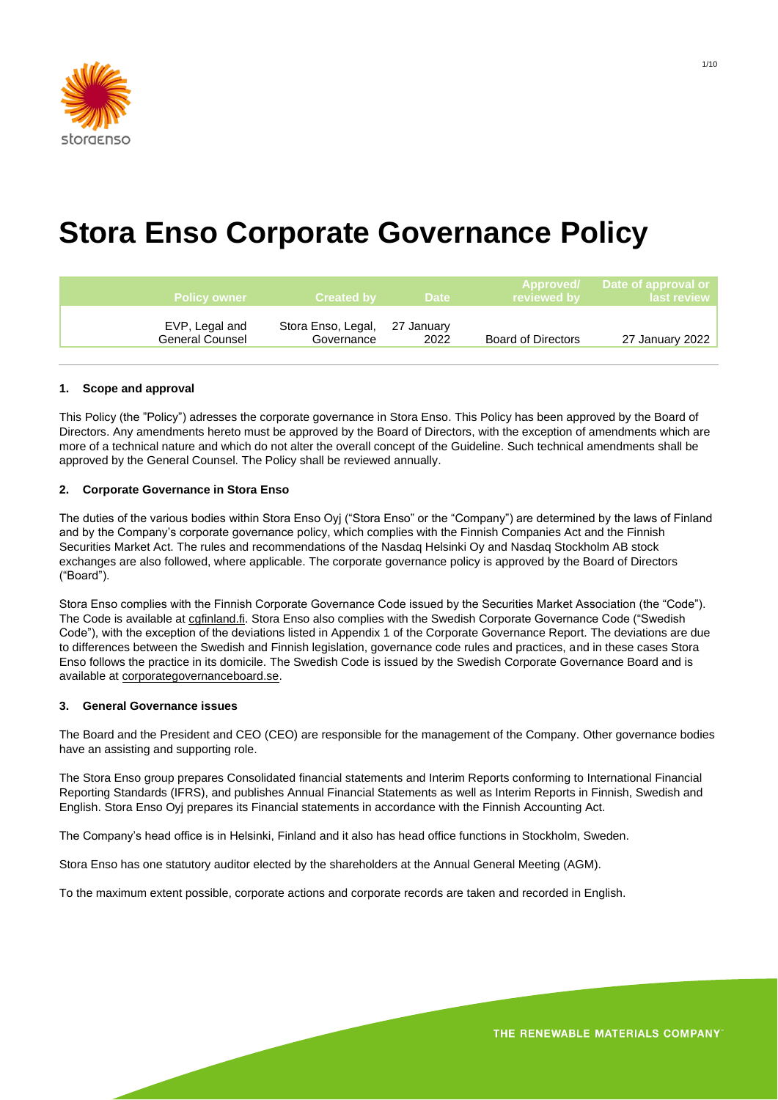

# **Stora Enso Corporate Governance Policy**

| Policy owner                             | <b>Created by Created</b>                   | ⊟Date ∶ | $\blacksquare$ reviewed by $\blacksquare$ | Approved/ Date of approval or<br><b>last review</b> |
|------------------------------------------|---------------------------------------------|---------|-------------------------------------------|-----------------------------------------------------|
| EVP, Legal and<br><b>General Counsel</b> | Stora Enso, Legal, 27 January<br>Governance | 2022    | <b>Board of Directors</b>                 | 27 January 2022                                     |

## **1. Scope and approval**

This Policy (the "Policy") adresses the corporate governance in Stora Enso. This Policy has been approved by the Board of Directors. Any amendments hereto must be approved by the Board of Directors, with the exception of amendments which are more of a technical nature and which do not alter the overall concept of the Guideline. Such technical amendments shall be approved by the General Counsel. The Policy shall be reviewed annually.

## **2. Corporate Governance in Stora Enso**

The duties of the various bodies within Stora Enso Oyj ("Stora Enso" or the "Company") are determined by the laws of Finland and by the Company's corporate governance policy, which complies with the Finnish Companies Act and the Finnish Securities Market Act. The rules and recommendations of the Nasdaq Helsinki Oy and Nasdaq Stockholm AB stock exchanges are also followed, where applicable. The corporate governance policy is approved by the Board of Directors ("Board").

Stora Enso complies with the Finnish Corporate Governance Code issued by the Securities Market Association (the "Code"). The Code is available at cofinland.fi. Stora Enso also complies with the Swedish Corporate Governance Code ("Swedish Code"), with the exception of the deviations listed in Appendix 1 of the Corporate Governance Report. The deviations are due to differences between the Swedish and Finnish legislation, governance code rules and practices, and in these cases Stora Enso follows the practice in its domicile. The Swedish Code is issued by the Swedish Corporate Governance Board and is available at corporategovernanceboard.se.

#### **3. General Governance issues**

The Board and the President and CEO (CEO) are responsible for the management of the Company. Other governance bodies have an assisting and supporting role.

The Stora Enso group prepares Consolidated financial statements and Interim Reports conforming to International Financial Reporting Standards (IFRS), and publishes Annual Financial Statements as well as Interim Reports in Finnish, Swedish and English. Stora Enso Oyj prepares its Financial statements in accordance with the Finnish Accounting Act.

The Company's head office is in Helsinki, Finland and it also has head office functions in Stockholm, Sweden.

Stora Enso has one statutory auditor elected by the shareholders at the Annual General Meeting (AGM).

To the maximum extent possible, corporate actions and corporate records are taken and recorded in English.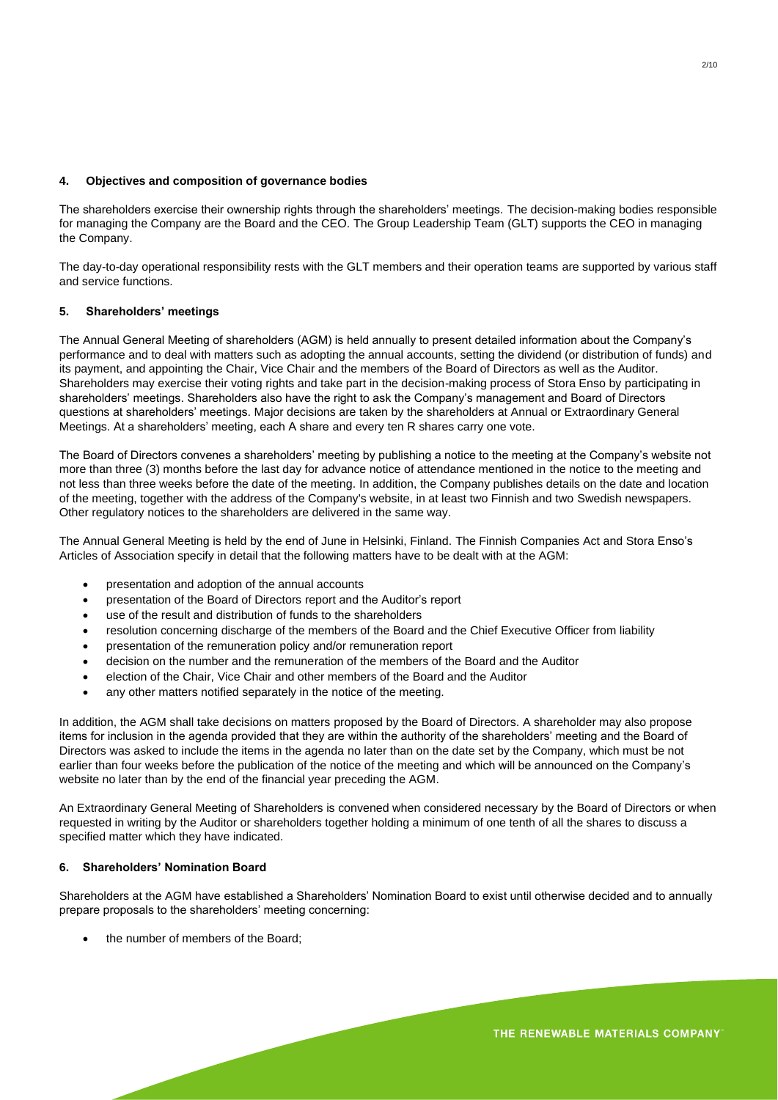#### **4. Objectives and composition of governance bodies**

The shareholders exercise their ownership rights through the shareholders' meetings. The decision-making bodies responsible for managing the Company are the Board and the CEO. The Group Leadership Team (GLT) supports the CEO in managing the Company.

The day-to-day operational responsibility rests with the GLT members and their operation teams are supported by various staff and service functions.

## **5. Shareholders' meetings**

The Annual General Meeting of shareholders (AGM) is held annually to present detailed information about the Company's performance and to deal with matters such as adopting the annual accounts, setting the dividend (or distribution of funds) and its payment, and appointing the Chair, Vice Chair and the members of the Board of Directors as well as the Auditor. Shareholders may exercise their voting rights and take part in the decision-making process of Stora Enso by participating in shareholders' meetings. Shareholders also have the right to ask the Company's management and Board of Directors questions at shareholders' meetings. Major decisions are taken by the shareholders at Annual or Extraordinary General Meetings. At a shareholders' meeting, each A share and every ten R shares carry one vote.

The Board of Directors convenes a shareholders' meeting by publishing a notice to the meeting at the Company's website not more than three (3) months before the last day for advance notice of attendance mentioned in the notice to the meeting and not less than three weeks before the date of the meeting. In addition, the Company publishes details on the date and location of the meeting, together with the address of the Company's website, in at least two Finnish and two Swedish newspapers. Other regulatory notices to the shareholders are delivered in the same way.

The Annual General Meeting is held by the end of June in Helsinki, Finland. The Finnish Companies Act and Stora Enso's Articles of Association specify in detail that the following matters have to be dealt with at the AGM:

- presentation and adoption of the annual accounts
- presentation of the Board of Directors report and the Auditor's report
- use of the result and distribution of funds to the shareholders
- resolution concerning discharge of the members of the Board and the Chief Executive Officer from liability
- presentation of the remuneration policy and/or remuneration report
- decision on the number and the remuneration of the members of the Board and the Auditor
- election of the Chair, Vice Chair and other members of the Board and the Auditor
- any other matters notified separately in the notice of the meeting.

In addition, the AGM shall take decisions on matters proposed by the Board of Directors. A shareholder may also propose items for inclusion in the agenda provided that they are within the authority of the shareholders' meeting and the Board of Directors was asked to include the items in the agenda no later than on the date set by the Company, which must be not earlier than four weeks before the publication of the notice of the meeting and which will be announced on the Company's website no later than by the end of the financial year preceding the AGM.

An Extraordinary General Meeting of Shareholders is convened when considered necessary by the Board of Directors or when requested in writing by the Auditor or shareholders together holding a minimum of one tenth of all the shares to discuss a specified matter which they have indicated.

## **6. Shareholders' Nomination Board**

Shareholders at the AGM have established a Shareholders' Nomination Board to exist until otherwise decided and to annually prepare proposals to the shareholders' meeting concerning:

• the number of members of the Board;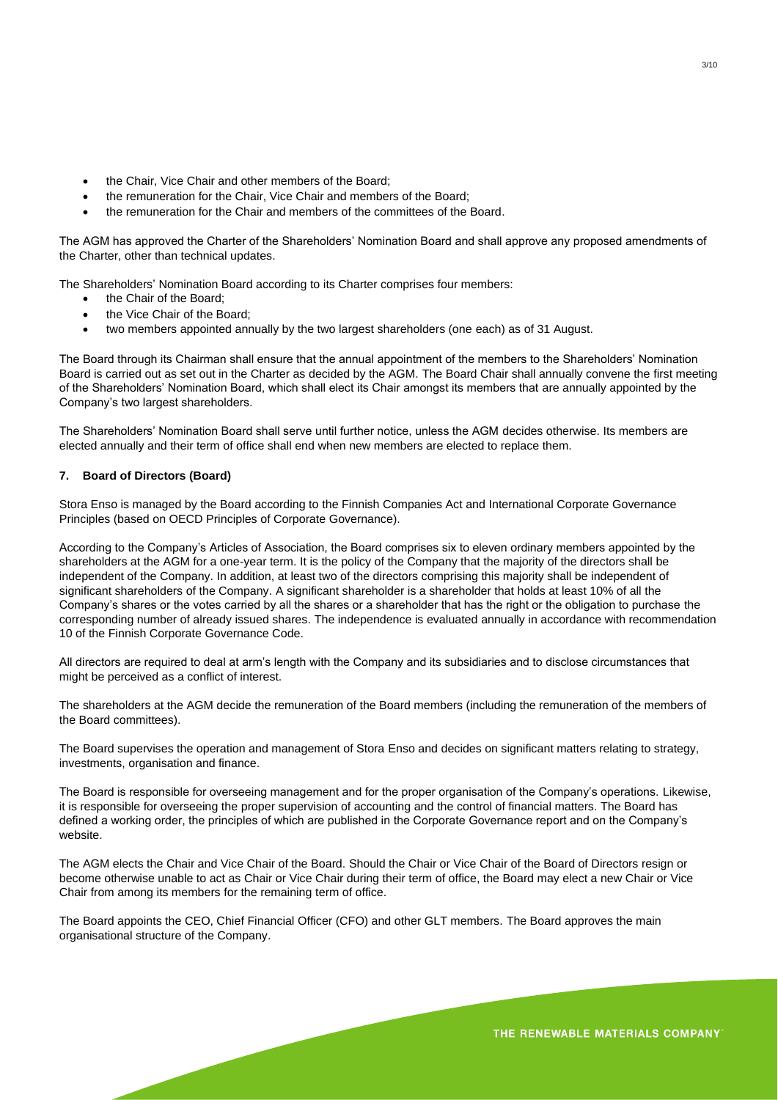- the Chair, Vice Chair and other members of the Board;
- the remuneration for the Chair, Vice Chair and members of the Board;
- the remuneration for the Chair and members of the committees of the Board.

The AGM has approved the Charter of the Shareholders' Nomination Board and shall approve any proposed amendments of the Charter, other than technical updates.

The Shareholders' Nomination Board according to its Charter comprises four members:

- the Chair of the Board;
- the Vice Chair of the Board;
- two members appointed annually by the two largest shareholders (one each) as of 31 August.

The Board through its Chairman shall ensure that the annual appointment of the members to the Shareholders' Nomination Board is carried out as set out in the Charter as decided by the AGM. The Board Chair shall annually convene the first meeting of the Shareholders' Nomination Board, which shall elect its Chair amongst its members that are annually appointed by the Company's two largest shareholders.

The Shareholders' Nomination Board shall serve until further notice, unless the AGM decides otherwise. Its members are elected annually and their term of office shall end when new members are elected to replace them.

## **7. Board of Directors (Board)**

Stora Enso is managed by the Board according to the Finnish Companies Act and International Corporate Governance Principles (based on OECD Principles of Corporate Governance).

According to the Company's Articles of Association, the Board comprises six to eleven ordinary members appointed by the shareholders at the AGM for a one-year term. It is the policy of the Company that the majority of the directors shall be independent of the Company. In addition, at least two of the directors comprising this majority shall be independent of significant shareholders of the Company. A significant shareholder is a shareholder that holds at least 10% of all the Company's shares or the votes carried by all the shares or a shareholder that has the right or the obligation to purchase the corresponding number of already issued shares. The independence is evaluated annually in accordance with recommendation 10 of the Finnish Corporate Governance Code.

All directors are required to deal at arm's length with the Company and its subsidiaries and to disclose circumstances that might be perceived as a conflict of interest.

The shareholders at the AGM decide the remuneration of the Board members (including the remuneration of the members of the Board committees).

The Board supervises the operation and management of Stora Enso and decides on significant matters relating to strategy, investments, organisation and finance.

The Board is responsible for overseeing management and for the proper organisation of the Company's operations. Likewise, it is responsible for overseeing the proper supervision of accounting and the control of financial matters. The Board has defined a working order, the principles of which are published in the Corporate Governance report and on the Company's website.

The AGM elects the Chair and Vice Chair of the Board. Should the Chair or Vice Chair of the Board of Directors resign or become otherwise unable to act as Chair or Vice Chair during their term of office, the Board may elect a new Chair or Vice Chair from among its members for the remaining term of office.

The Board appoints the CEO, Chief Financial Officer (CFO) and other GLT members. The Board approves the main organisational structure of the Company.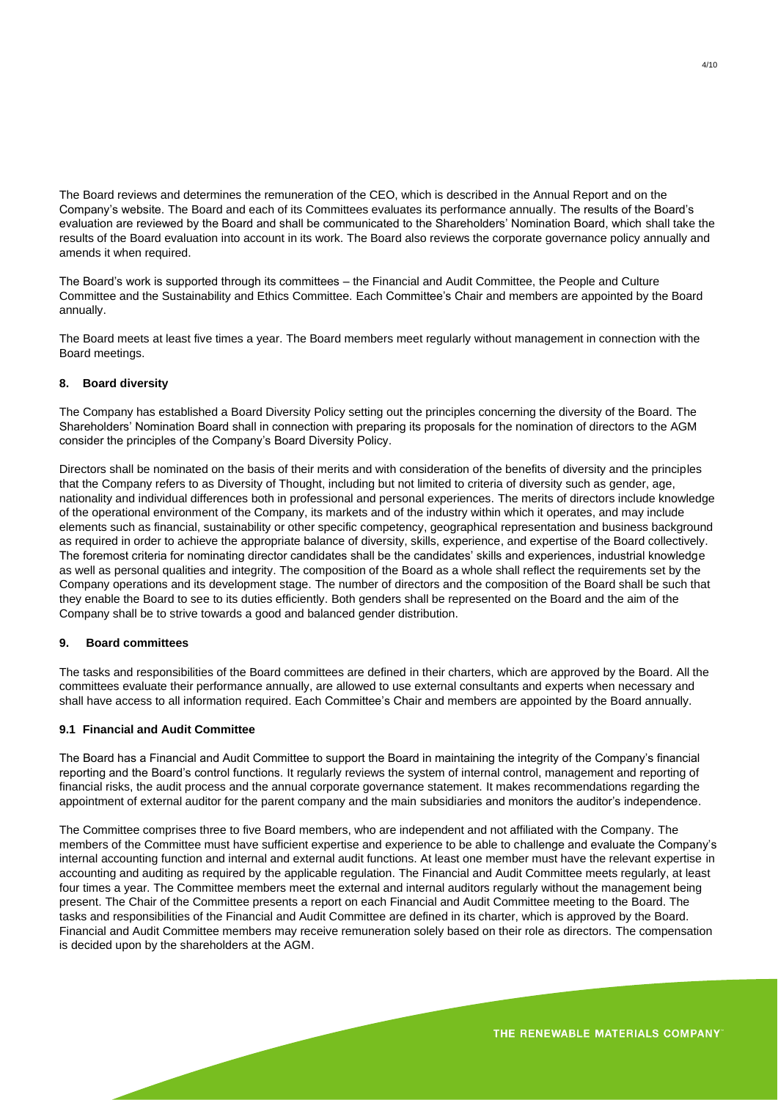The Board reviews and determines the remuneration of the CEO, which is described in the Annual Report and on the Company's website. The Board and each of its Committees evaluates its performance annually. The results of the Board's evaluation are reviewed by the Board and shall be communicated to the Shareholders' Nomination Board, which shall take the results of the Board evaluation into account in its work. The Board also reviews the corporate governance policy annually and amends it when required.

The Board's work is supported through its committees – the Financial and Audit Committee, the People and Culture Committee and the Sustainability and Ethics Committee. Each Committee's Chair and members are appointed by the Board annually.

The Board meets at least five times a year. The Board members meet regularly without management in connection with the Board meetings.

## **8. Board diversity**

The Company has established a Board Diversity Policy setting out the principles concerning the diversity of the Board. The Shareholders' Nomination Board shall in connection with preparing its proposals for the nomination of directors to the AGM consider the principles of the Company's Board Diversity Policy.

Directors shall be nominated on the basis of their merits and with consideration of the benefits of diversity and the principles that the Company refers to as Diversity of Thought, including but not limited to criteria of diversity such as gender, age, nationality and individual differences both in professional and personal experiences. The merits of directors include knowledge of the operational environment of the Company, its markets and of the industry within which it operates, and may include elements such as financial, sustainability or other specific competency, geographical representation and business background as required in order to achieve the appropriate balance of diversity, skills, experience, and expertise of the Board collectively. The foremost criteria for nominating director candidates shall be the candidates' skills and experiences, industrial knowledge as well as personal qualities and integrity. The composition of the Board as a whole shall reflect the requirements set by the Company operations and its development stage. The number of directors and the composition of the Board shall be such that they enable the Board to see to its duties efficiently. Both genders shall be represented on the Board and the aim of the Company shall be to strive towards a good and balanced gender distribution.

## **9. Board committees**

The tasks and responsibilities of the Board committees are defined in their charters, which are approved by the Board. All the committees evaluate their performance annually, are allowed to use external consultants and experts when necessary and shall have access to all information required. Each Committee's Chair and members are appointed by the Board annually.

#### **9.1 Financial and Audit Committee**

The Board has a Financial and Audit Committee to support the Board in maintaining the integrity of the Company's financial reporting and the Board's control functions. It regularly reviews the system of internal control, management and reporting of financial risks, the audit process and the annual corporate governance statement. It makes recommendations regarding the appointment of external auditor for the parent company and the main subsidiaries and monitors the auditor's independence.

The Committee comprises three to five Board members, who are independent and not affiliated with the Company. The members of the Committee must have sufficient expertise and experience to be able to challenge and evaluate the Company's internal accounting function and internal and external audit functions. At least one member must have the relevant expertise in accounting and auditing as required by the applicable regulation. The Financial and Audit Committee meets regularly, at least four times a year. The Committee members meet the external and internal auditors regularly without the management being present. The Chair of the Committee presents a report on each Financial and Audit Committee meeting to the Board. The tasks and responsibilities of the Financial and Audit Committee are defined in its charter, which is approved by the Board. Financial and Audit Committee members may receive remuneration solely based on their role as directors. The compensation is decided upon by the shareholders at the AGM.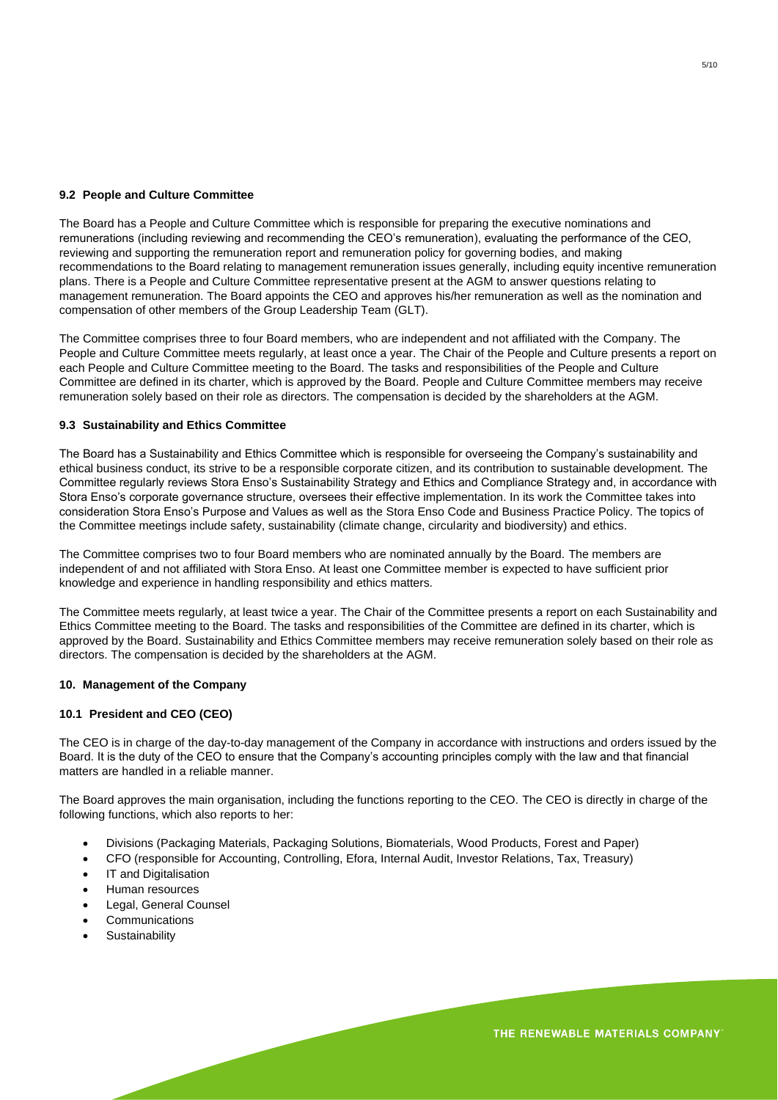# **9.2 People and Culture Committee**

The Board has a People and Culture Committee which is responsible for preparing the executive nominations and remunerations (including reviewing and recommending the CEO's remuneration), evaluating the performance of the CEO, reviewing and supporting the remuneration report and remuneration policy for governing bodies, and making recommendations to the Board relating to management remuneration issues generally, including equity incentive remuneration plans. There is a People and Culture Committee representative present at the AGM to answer questions relating to management remuneration. The Board appoints the CEO and approves his/her remuneration as well as the nomination and compensation of other members of the Group Leadership Team (GLT).

The Committee comprises three to four Board members, who are independent and not affiliated with the Company. The People and Culture Committee meets regularly, at least once a year. The Chair of the People and Culture presents a report on each People and Culture Committee meeting to the Board. The tasks and responsibilities of the People and Culture Committee are defined in its charter, which is approved by the Board. People and Culture Committee members may receive remuneration solely based on their role as directors. The compensation is decided by the shareholders at the AGM.

## **9.3 Sustainability and Ethics Committee**

The Board has a Sustainability and Ethics Committee which is responsible for overseeing the Company's sustainability and ethical business conduct, its strive to be a responsible corporate citizen, and its contribution to sustainable development. The Committee regularly reviews Stora Enso's Sustainability Strategy and Ethics and Compliance Strategy and, in accordance with Stora Enso's corporate governance structure, oversees their effective implementation. In its work the Committee takes into consideration Stora Enso's Purpose and Values as well as the Stora Enso Code and Business Practice Policy. The topics of the Committee meetings include safety, sustainability (climate change, circularity and biodiversity) and ethics.

The Committee comprises two to four Board members who are nominated annually by the Board. The members are independent of and not affiliated with Stora Enso. At least one Committee member is expected to have sufficient prior knowledge and experience in handling responsibility and ethics matters.

The Committee meets regularly, at least twice a year. The Chair of the Committee presents a report on each Sustainability and Ethics Committee meeting to the Board. The tasks and responsibilities of the Committee are defined in its charter, which is approved by the Board. Sustainability and Ethics Committee members may receive remuneration solely based on their role as directors. The compensation is decided by the shareholders at the AGM.

#### **10. Management of the Company**

#### **10.1 President and CEO (CEO)**

The CEO is in charge of the day-to-day management of the Company in accordance with instructions and orders issued by the Board. It is the duty of the CEO to ensure that the Company's accounting principles comply with the law and that financial matters are handled in a reliable manner.

The Board approves the main organisation, including the functions reporting to the CEO. The CEO is directly in charge of the following functions, which also reports to her:

- Divisions (Packaging Materials, Packaging Solutions, Biomaterials, Wood Products, Forest and Paper)
- CFO (responsible for Accounting, Controlling, Efora, Internal Audit, Investor Relations, Tax, Treasury)
- IT and Digitalisation
- Human resources
- Legal, General Counsel
- **Communications**
- **Sustainability**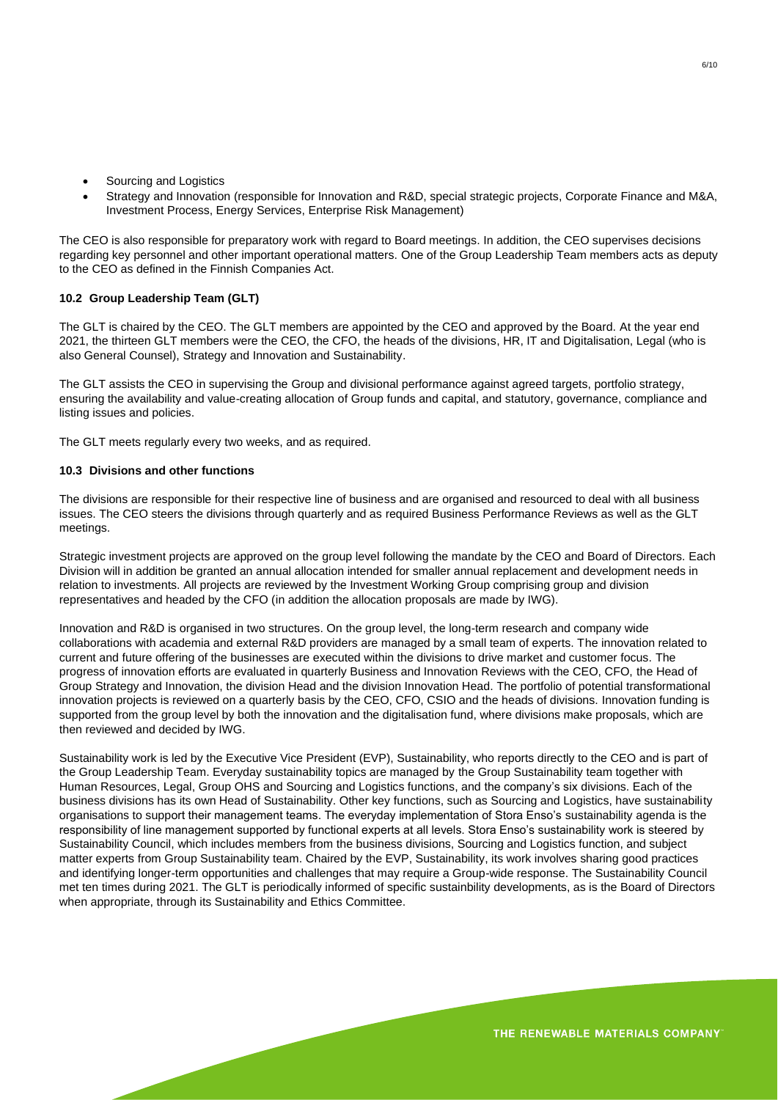- Sourcing and Logistics
- Strategy and Innovation (responsible for Innovation and R&D, special strategic projects, Corporate Finance and M&A, Investment Process, Energy Services, Enterprise Risk Management)

The CEO is also responsible for preparatory work with regard to Board meetings. In addition, the CEO supervises decisions regarding key personnel and other important operational matters. One of the Group Leadership Team members acts as deputy to the CEO as defined in the Finnish Companies Act.

# **10.2 Group Leadership Team (GLT)**

The GLT is chaired by the CEO. The GLT members are appointed by the CEO and approved by the Board. At the year end 2021, the thirteen GLT members were the CEO, the CFO, the heads of the divisions, HR, IT and Digitalisation, Legal (who is also General Counsel), Strategy and Innovation and Sustainability.

The GLT assists the CEO in supervising the Group and divisional performance against agreed targets, portfolio strategy, ensuring the availability and value-creating allocation of Group funds and capital, and statutory, governance, compliance and listing issues and policies.

The GLT meets regularly every two weeks, and as required.

## **10.3 Divisions and other functions**

The divisions are responsible for their respective line of business and are organised and resourced to deal with all business issues. The CEO steers the divisions through quarterly and as required Business Performance Reviews as well as the GLT meetings.

Strategic investment projects are approved on the group level following the mandate by the CEO and Board of Directors. Each Division will in addition be granted an annual allocation intended for smaller annual replacement and development needs in relation to investments. All projects are reviewed by the Investment Working Group comprising group and division representatives and headed by the CFO (in addition the allocation proposals are made by IWG).

Innovation and R&D is organised in two structures. On the group level, the long-term research and company wide collaborations with academia and external R&D providers are managed by a small team of experts. The innovation related to current and future offering of the businesses are executed within the divisions to drive market and customer focus. The progress of innovation efforts are evaluated in quarterly Business and Innovation Reviews with the CEO, CFO, the Head of Group Strategy and Innovation, the division Head and the division Innovation Head. The portfolio of potential transformational innovation projects is reviewed on a quarterly basis by the CEO, CFO, CSIO and the heads of divisions. Innovation funding is supported from the group level by both the innovation and the digitalisation fund, where divisions make proposals, which are then reviewed and decided by IWG.

Sustainability work is led by the Executive Vice President (EVP), Sustainability, who reports directly to the CEO and is part of the Group Leadership Team. Everyday sustainability topics are managed by the Group Sustainability team together with Human Resources, Legal, Group OHS and Sourcing and Logistics functions, and the company's six divisions. Each of the business divisions has its own Head of Sustainability. Other key functions, such as Sourcing and Logistics, have sustainability organisations to support their management teams. The everyday implementation of Stora Enso's sustainability agenda is the responsibility of line management supported by functional experts at all levels. Stora Enso's sustainability work is steered by Sustainability Council, which includes members from the business divisions, Sourcing and Logistics function, and subject matter experts from Group Sustainability team. Chaired by the EVP, Sustainability, its work involves sharing good practices and identifying longer-term opportunities and challenges that may require a Group-wide response. The Sustainability Council met ten times during 2021. The GLT is periodically informed of specific sustainbility developments, as is the Board of Directors when appropriate, through its Sustainability and Ethics Committee.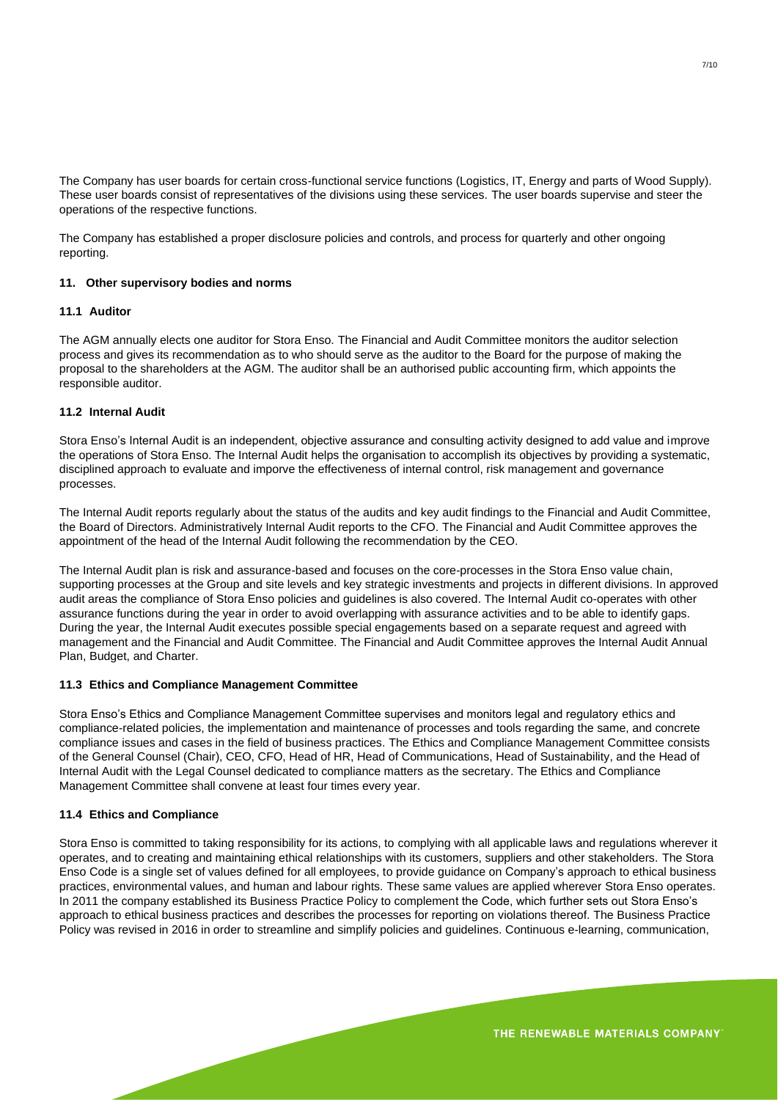The Company has user boards for certain cross-functional service functions (Logistics, IT, Energy and parts of Wood Supply). These user boards consist of representatives of the divisions using these services. The user boards supervise and steer the operations of the respective functions.

The Company has established a proper disclosure policies and controls, and process for quarterly and other ongoing reporting.

#### **11. Other supervisory bodies and norms**

#### **11.1 Auditor**

The AGM annually elects one auditor for Stora Enso. The Financial and Audit Committee monitors the auditor selection process and gives its recommendation as to who should serve as the auditor to the Board for the purpose of making the proposal to the shareholders at the AGM. The auditor shall be an authorised public accounting firm, which appoints the responsible auditor.

# **11.2 Internal Audit**

Stora Enso's Internal Audit is an independent, objective assurance and consulting activity designed to add value and improve the operations of Stora Enso. The Internal Audit helps the organisation to accomplish its objectives by providing a systematic, disciplined approach to evaluate and imporve the effectiveness of internal control, risk management and governance processes.

The Internal Audit reports regularly about the status of the audits and key audit findings to the Financial and Audit Committee, the Board of Directors. Administratively Internal Audit reports to the CFO. The Financial and Audit Committee approves the appointment of the head of the Internal Audit following the recommendation by the CEO.

The Internal Audit plan is risk and assurance-based and focuses on the core-processes in the Stora Enso value chain, supporting processes at the Group and site levels and key strategic investments and projects in different divisions. In approved audit areas the compliance of Stora Enso policies and guidelines is also covered. The Internal Audit co-operates with other assurance functions during the year in order to avoid overlapping with assurance activities and to be able to identify gaps. During the year, the Internal Audit executes possible special engagements based on a separate request and agreed with management and the Financial and Audit Committee. The Financial and Audit Committee approves the Internal Audit Annual Plan, Budget, and Charter.

#### **11.3 Ethics and Compliance Management Committee**

Stora Enso's Ethics and Compliance Management Committee supervises and monitors legal and regulatory ethics and compliance-related policies, the implementation and maintenance of processes and tools regarding the same, and concrete compliance issues and cases in the field of business practices. The Ethics and Compliance Management Committee consists of the General Counsel (Chair), CEO, CFO, Head of HR, Head of Communications, Head of Sustainability, and the Head of Internal Audit with the Legal Counsel dedicated to compliance matters as the secretary. The Ethics and Compliance Management Committee shall convene at least four times every year.

#### **11.4 Ethics and Compliance**

Stora Enso is committed to taking responsibility for its actions, to complying with all applicable laws and regulations wherever it operates, and to creating and maintaining ethical relationships with its customers, suppliers and other stakeholders. The Stora Enso Code is a single set of values defined for all employees, to provide guidance on Company's approach to ethical business practices, environmental values, and human and labour rights. These same values are applied wherever Stora Enso operates. In 2011 the company established its Business Practice Policy to complement the Code, which further sets out Stora Enso's approach to ethical business practices and describes the processes for reporting on violations thereof. The Business Practice Policy was revised in 2016 in order to streamline and simplify policies and guidelines. Continuous e-learning, communication,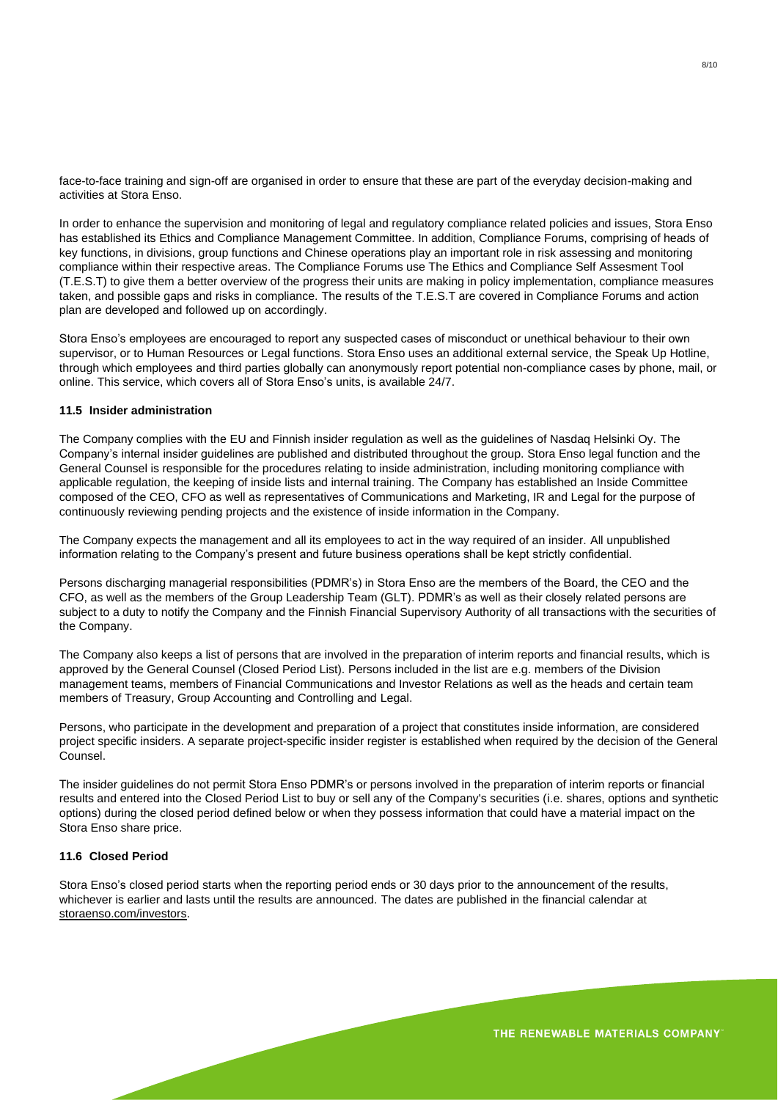face-to-face training and sign-off are organised in order to ensure that these are part of the everyday decision-making and activities at Stora Enso.

In order to enhance the supervision and monitoring of legal and regulatory compliance related policies and issues, Stora Enso has established its Ethics and Compliance Management Committee. In addition, Compliance Forums, comprising of heads of key functions, in divisions, group functions and Chinese operations play an important role in risk assessing and monitoring compliance within their respective areas. The Compliance Forums use The Ethics and Compliance Self Assesment Tool (T.E.S.T) to give them a better overview of the progress their units are making in policy implementation, compliance measures taken, and possible gaps and risks in compliance. The results of the T.E.S.T are covered in Compliance Forums and action plan are developed and followed up on accordingly.

Stora Enso's employees are encouraged to report any suspected cases of misconduct or unethical behaviour to their own supervisor, or to Human Resources or Legal functions. Stora Enso uses an additional external service, the Speak Up Hotline, through which employees and third parties globally can anonymously report potential non-compliance cases by phone, mail, or online. This service, which covers all of Stora Enso's units, is available 24/7.

## **11.5 Insider administration**

The Company complies with the EU and Finnish insider regulation as well as the guidelines of Nasdaq Helsinki Oy. The Company's internal insider guidelines are published and distributed throughout the group. Stora Enso legal function and the General Counsel is responsible for the procedures relating to inside administration, including monitoring compliance with applicable regulation, the keeping of inside lists and internal training. The Company has established an Inside Committee composed of the CEO, CFO as well as representatives of Communications and Marketing, IR and Legal for the purpose of continuously reviewing pending projects and the existence of inside information in the Company.

The Company expects the management and all its employees to act in the way required of an insider. All unpublished information relating to the Company's present and future business operations shall be kept strictly confidential.

Persons discharging managerial responsibilities (PDMR's) in Stora Enso are the members of the Board, the CEO and the CFO, as well as the members of the Group Leadership Team (GLT). PDMR's as well as their closely related persons are subject to a duty to notify the Company and the Finnish Financial Supervisory Authority of all transactions with the securities of the Company.

The Company also keeps a list of persons that are involved in the preparation of interim reports and financial results, which is approved by the General Counsel (Closed Period List). Persons included in the list are e.g. members of the Division management teams, members of Financial Communications and Investor Relations as well as the heads and certain team members of Treasury, Group Accounting and Controlling and Legal.

Persons, who participate in the development and preparation of a project that constitutes inside information, are considered project specific insiders. A separate project-specific insider register is established when required by the decision of the General Counsel.

The insider guidelines do not permit Stora Enso PDMR's or persons involved in the preparation of interim reports or financial results and entered into the Closed Period List to buy or sell any of the Company's securities (i.e. shares, options and synthetic options) during the closed period defined below or when they possess information that could have a material impact on the Stora Enso share price.

## **11.6 Closed Period**

Stora Enso's closed period starts when the reporting period ends or 30 days prior to the announcement of the results, whichever is earlier and lasts until the results are announced. The dates are published in the financial calendar at storaenso.com/investors.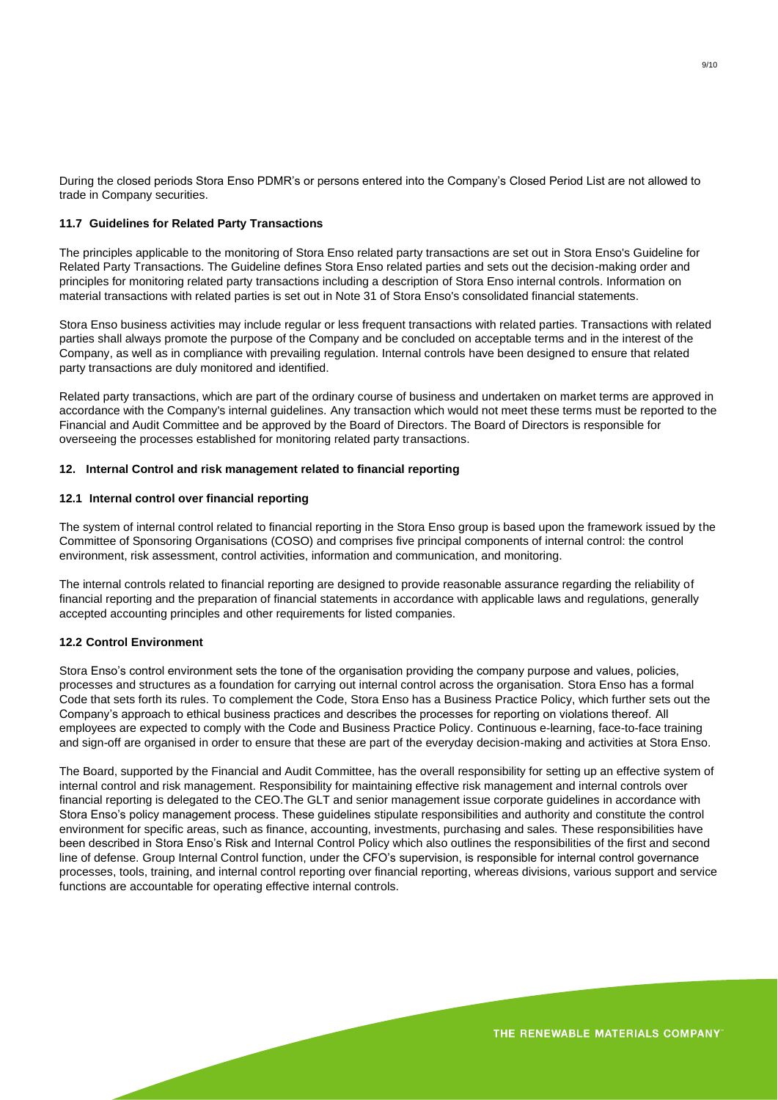During the closed periods Stora Enso PDMR's or persons entered into the Company's Closed Period List are not allowed to trade in Company securities.

## **11.7 Guidelines for Related Party Transactions**

The principles applicable to the monitoring of Stora Enso related party transactions are set out in Stora Enso's Guideline for Related Party Transactions. The Guideline defines Stora Enso related parties and sets out the decision-making order and principles for monitoring related party transactions including a description of Stora Enso internal controls. Information on material transactions with related parties is set out in Note 31 of Stora Enso's consolidated financial statements.

Stora Enso business activities may include regular or less frequent transactions with related parties. Transactions with related parties shall always promote the purpose of the Company and be concluded on acceptable terms and in the interest of the Company, as well as in compliance with prevailing regulation. Internal controls have been designed to ensure that related party transactions are duly monitored and identified.

Related party transactions, which are part of the ordinary course of business and undertaken on market terms are approved in accordance with the Company's internal guidelines. Any transaction which would not meet these terms must be reported to the Financial and Audit Committee and be approved by the Board of Directors. The Board of Directors is responsible for overseeing the processes established for monitoring related party transactions.

## **12. Internal Control and risk management related to financial reporting**

## **12.1 Internal control over financial reporting**

The system of internal control related to financial reporting in the Stora Enso group is based upon the framework issued by the Committee of Sponsoring Organisations (COSO) and comprises five principal components of internal control: the control environment, risk assessment, control activities, information and communication, and monitoring.

The internal controls related to financial reporting are designed to provide reasonable assurance regarding the reliability of financial reporting and the preparation of financial statements in accordance with applicable laws and regulations, generally accepted accounting principles and other requirements for listed companies.

#### **12.2 Control Environment**

Stora Enso's control environment sets the tone of the organisation providing the company purpose and values, policies, processes and structures as a foundation for carrying out internal control across the organisation. Stora Enso has a formal Code that sets forth its rules. To complement the Code, Stora Enso has a Business Practice Policy, which further sets out the Company's approach to ethical business practices and describes the processes for reporting on violations thereof. All employees are expected to comply with the Code and Business Practice Policy. Continuous e-learning, face-to-face training and sign-off are organised in order to ensure that these are part of the everyday decision-making and activities at Stora Enso.

The Board, supported by the Financial and Audit Committee, has the overall responsibility for setting up an effective system of internal control and risk management. Responsibility for maintaining effective risk management and internal controls over financial reporting is delegated to the CEO.The GLT and senior management issue corporate guidelines in accordance with Stora Enso's policy management process. These guidelines stipulate responsibilities and authority and constitute the control environment for specific areas, such as finance, accounting, investments, purchasing and sales. These responsibilities have been described in Stora Enso's Risk and Internal Control Policy which also outlines the responsibilities of the first and second line of defense. Group Internal Control function, under the CFO's supervision, is responsible for internal control governance processes, tools, training, and internal control reporting over financial reporting, whereas divisions, various support and service functions are accountable for operating effective internal controls.